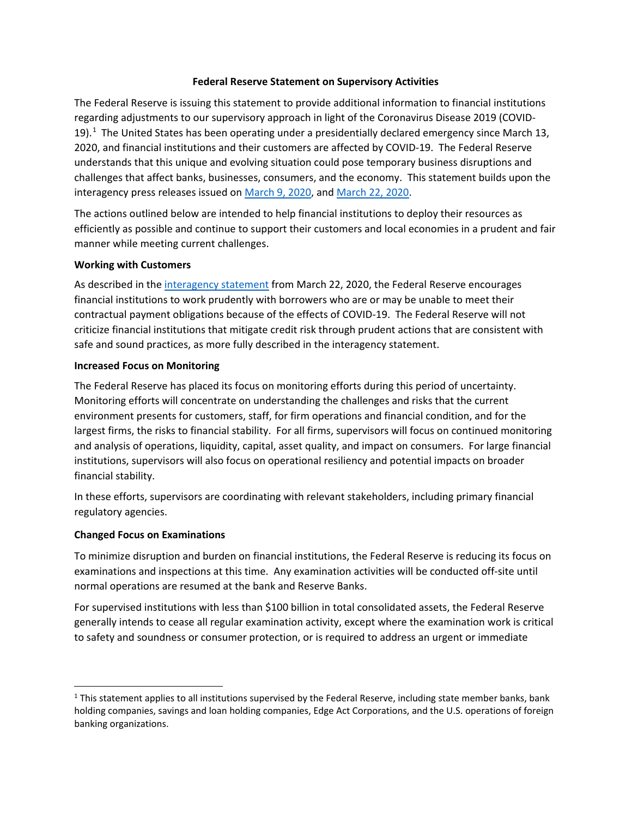### **Federal Reserve Statement on Supervisory Activities**

 regarding adjustments to our supervisory approach in light of the Coronavirus Disease 2019 (COVID-19). $<sup>1</sup>$  The United States has been operating under a presidentially declared emergency since March 13,</sup> understands that this unique and evolving situation could pose temporary business disruptions and challenges that affect banks, businesses, consumers, and the economy. This statement builds upon the The Federal Reserve is issuing this statement to provide additional information to financial institutions 2020, and financial institutions and their customers are affected by COVID-19. The Federal Reserve interagency press releases issued on [March 9, 2020,](https://www.federalreserve.gov/newsevents/pressreleases/bcreg20200309a.htm) and [March 22, 2020.](https://www.federalreserve.gov/newsevents/pressreleases/bcreg20200322a.htm)

 efficiently as possible and continue to support their customers and local economies in a prudent and fair manner while meeting current challenges. The actions outlined below are intended to help financial institutions to deploy their resources as

#### **Working with Customers**

 financial institutions to work prudently with borrowers who are or may be unable to meet their safe and sound practices, as more fully described in the interagency statement. As described in th[e interagency statement f](https://www.federalreserve.gov/newsevents/pressreleases/bcreg20200322a.htm)rom March 22, 2020, the Federal Reserve encourages contractual payment obligations because of the effects of COVID-19. The Federal Reserve will not criticize financial institutions that mitigate credit risk through prudent actions that are consistent with

#### **Increased Focus on Monitoring**

 environment presents for customers, staff, for firm operations and financial condition, and for the largest firms, the risks to financial stability. For all firms, supervisors will focus on continued monitoring financial stability. The Federal Reserve has placed its focus on monitoring efforts during this period of uncertainty. Monitoring efforts will concentrate on understanding the challenges and risks that the current and analysis of operations, liquidity, capital, asset quality, and impact on consumers. For large financial institutions, supervisors will also focus on operational resiliency and potential impacts on broader

In these efforts, supervisors are coordinating with relevant stakeholders, including primary financial regulatory agencies.

### **Changed Focus on Examinations**

 $\overline{\phantom{a}}$ 

 examinations and inspections at this time. Any examination activities will be conducted off-site until To minimize disruption and burden on financial institutions, the Federal Reserve is reducing its focus on normal operations are resumed at the bank and Reserve Banks.

 to safety and soundness or consumer protection, or is required to address an urgent or immediate For supervised institutions with less than \$100 billion in total consolidated assets, the Federal Reserve generally intends to cease all regular examination activity, except where the examination work is critical

 $1$  This statement applies to all institutions supervised by the Federal Reserve, including state member banks, bank holding companies, savings and loan holding companies, Edge Act Corporations, and the U.S. operations of foreign banking organizations.